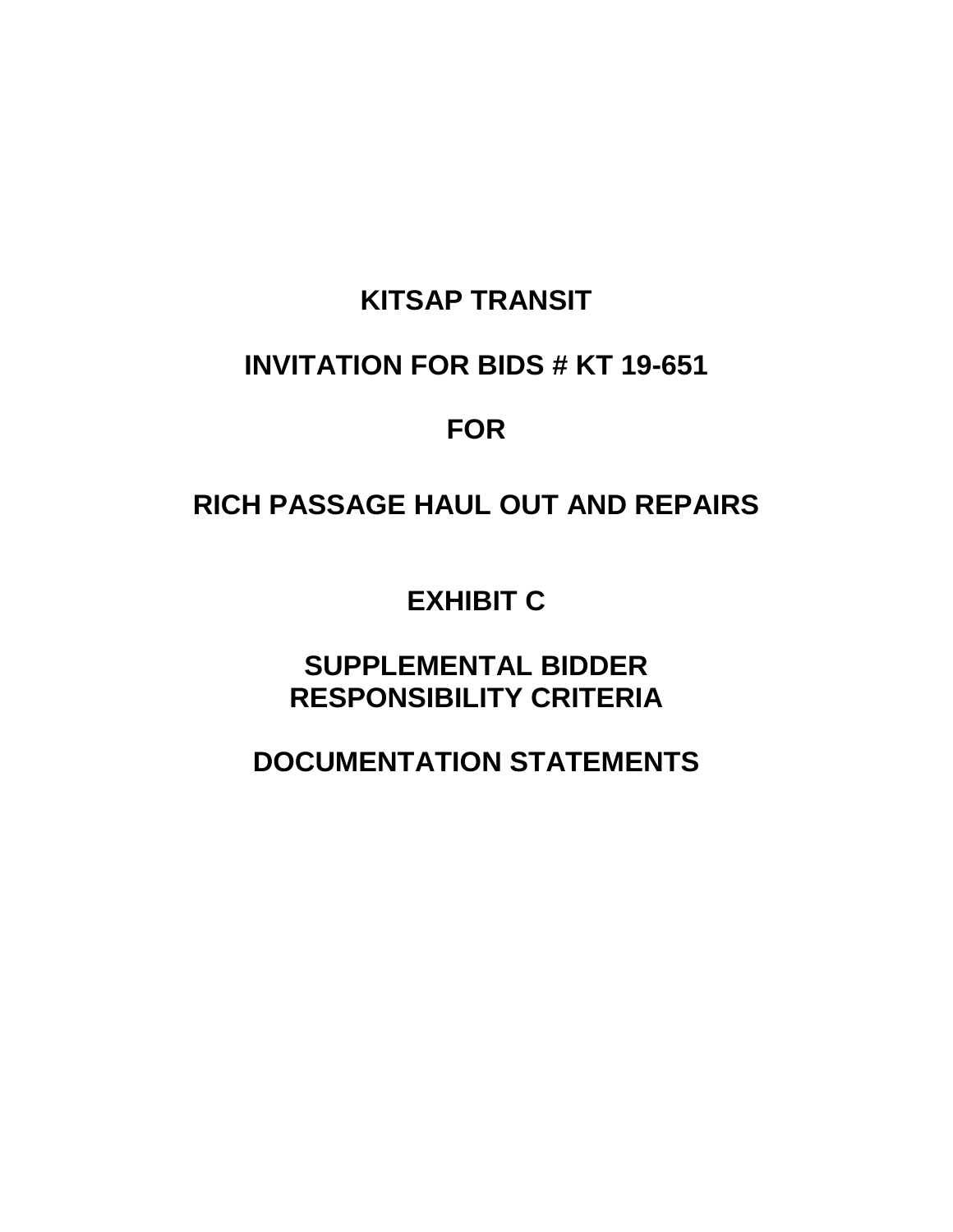## **KITSAP TRANSIT**

## **INVITATION FOR BIDS # KT 19-651**

## **FOR**

# **RICH PASSAGE HAUL OUT AND REPAIRS**

**EXHIBIT C**

**SUPPLEMENTAL BIDDER RESPONSIBILITY CRITERIA**

**DOCUMENTATION STATEMENTS**